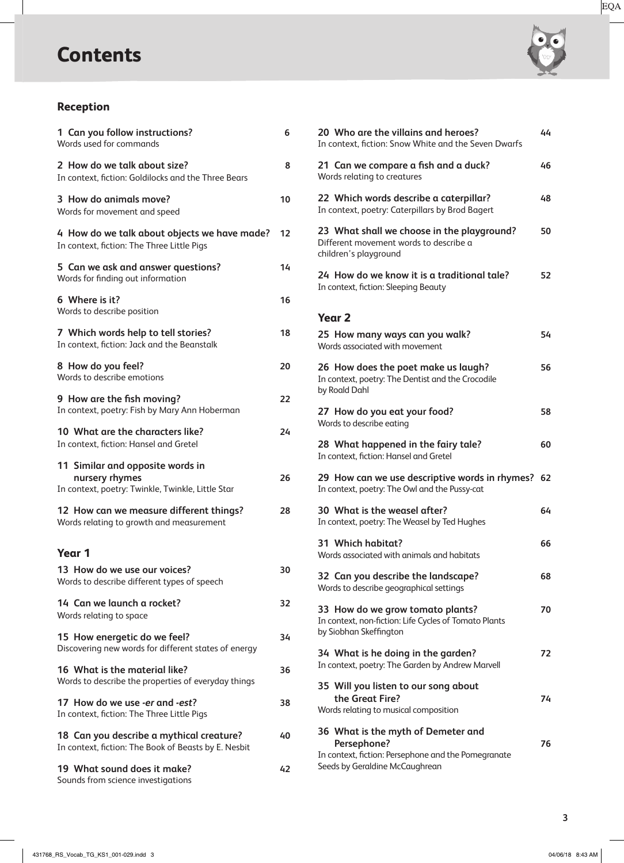# **Contents**



## **Reception**

| 1 Can you follow instructions?<br>Words used for commands                                               | 6  |
|---------------------------------------------------------------------------------------------------------|----|
| 2 How do we talk about size?<br>In context, fiction: Goldilocks and the Three Bears                     | 8  |
| 3 How do animals move?<br>Words for movement and speed                                                  | 10 |
| 4 How do we talk about objects we have made?<br>In context, fiction: The Three Little Pigs              | 12 |
| 5 Can we ask and answer questions?<br>Words for finding out information                                 | 14 |
| 6 Where is it?<br>Words to describe position                                                            | 16 |
| 7 Which words help to tell stories?<br>In context, fiction: Jack and the Beanstalk                      | 18 |
| 8 How do you feel?<br>Words to describe emotions                                                        | 20 |
| 9 How are the fish moving?<br>In context, poetry: Fish by Mary Ann Hoberman                             | 22 |
| 10 What are the characters like?<br>In context, fiction: Hansel and Gretel                              | 24 |
| 11 Similar and opposite words in<br>nursery rhymes<br>In context, poetry: Twinkle, Twinkle, Little Star | 26 |
| 12 How can we measure different things?<br>Words relating to growth and measurement                     | 28 |
| Year 1                                                                                                  |    |
| 13 How do we use our voices?<br>Words to describe different types of speech                             | 30 |
| 14 Can we launch a rocket?<br>Words relating to space                                                   | 32 |
| 15 How energetic do we feel?<br>Discovering new words for different states of energy                    | 34 |
| 16 What is the material like?<br>Words to describe the properties of everyday things                    | 36 |
| 17 How do we use -er and -est?<br>In context, fiction: The Three Little Pigs                            | 38 |
| 18 Can you describe a mythical creature?<br>In context, fiction: The Book of Beasts by E. Nesbit        | 40 |
| 19 What sound does it make?<br>Sounds from science investigations                                       | 42 |

| 20 Who are the villains and heroes?<br>In context, fiction: Snow White and the Seven Dwarfs                                                | 44 |
|--------------------------------------------------------------------------------------------------------------------------------------------|----|
| 21 Can we compare a fish and a duck?<br>Words relating to creatures                                                                        | 46 |
| 22 Which words describe a caterpillar?<br>In context, poetry: Caterpillars by Brod Bagert                                                  | 48 |
| 23 What shall we choose in the playground?<br>Different movement words to describe a<br>children's playground                              | 50 |
| 24 How do we know it is a traditional tale?<br>In context, fiction: Sleeping Beauty                                                        | 52 |
| <b>Year 2</b>                                                                                                                              |    |
| 25 How many ways can you walk?<br>Words associated with movement                                                                           | 54 |
| 26 How does the poet make us laugh?<br>In context, poetry: The Dentist and the Crocodile<br>by Roald Dahl                                  | 56 |
| 27 How do you eat your food?<br>Words to describe eating                                                                                   | 58 |
| 28 What happened in the fairy tale?<br>In context, fiction: Hansel and Gretel                                                              | 60 |
| 29 How can we use descriptive words in rhymes? 62<br>In context, poetry: The Owl and the Pussy-cat                                         |    |
| 30 What is the weasel after?<br>In context, poetry: The Weasel by Ted Hughes                                                               | 64 |
| 31 Which habitat?<br>Words associated with animals and habitats                                                                            | 66 |
| 32 Can you describe the landscape?<br>Words to describe geographical settings                                                              | 68 |
| 33 How do we grow tomato plants?<br>In context, non-fiction: Life Cycles of Tomato Plants<br>by Siobhan Skeffington                        | 70 |
| 34 What is he doing in the garden?<br>In context, poetry: The Garden by Andrew Marvell                                                     | 72 |
| 35 Will you listen to our song about<br>the Great Fire?<br>Words relating to musical composition                                           | 74 |
| 36 What is the myth of Demeter and<br>Persephone?<br>In context, fiction: Persephone and the Pomegranate<br>Seeds by Geraldine McCaughrean | 76 |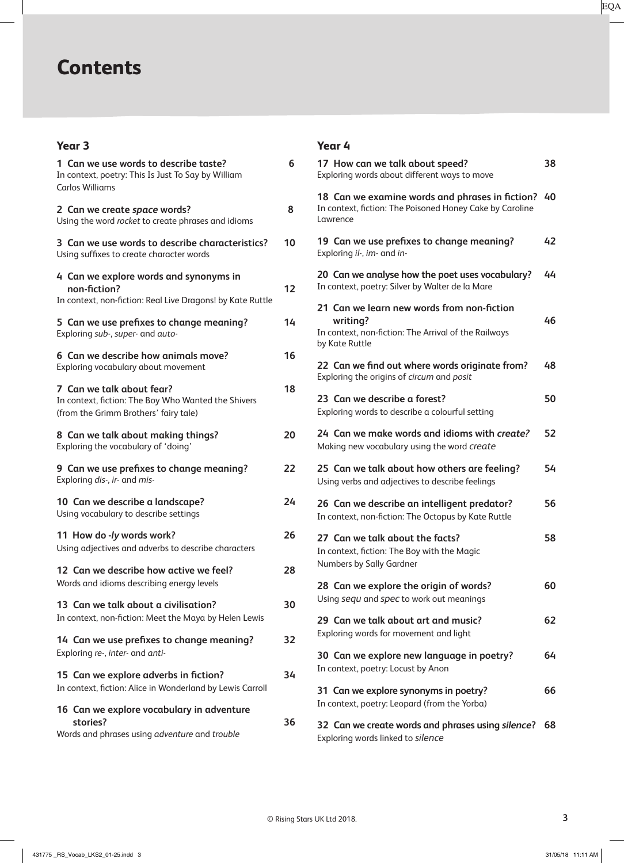## **Contents**

### **Year 3**

| 1 Can we use words to describe taste?<br>In context, poetry: This Is Just To Say by William<br>Carlos Williams            | 6  |
|---------------------------------------------------------------------------------------------------------------------------|----|
| 2 Can we create space words?<br>Using the word rocket to create phrases and idioms                                        | 8  |
| 3 Can we use words to describe characteristics?<br>Using suffixes to create character words                               | 10 |
| 4 Can we explore words and synonyms in<br>non-fiction?<br>In context, non-fiction: Real Live Dragons! by Kate Ruttle      | 12 |
| 5 Can we use prefixes to change meaning?<br>Exploring sub-, super- and auto-                                              | 14 |
| 6 Can we describe how animals move?<br>Exploring vocabulary about movement                                                | 16 |
| 7 Can we talk about fear?<br>In context, fiction: The Boy Who Wanted the Shivers<br>(from the Grimm Brothers' fairy tale) | 18 |
| 8 Can we talk about making things?<br>Exploring the vocabulary of 'doing'                                                 | 20 |
| 9 Can we use prefixes to change meaning?<br>Exploring dis-, ir- and mis-                                                  | 22 |
| 10 Can we describe a landscape?<br>Using vocabulary to describe settings                                                  | 24 |
| 11 How do -ly words work?<br>Using adjectives and adverbs to describe characters                                          | 26 |
| 12 Can we describe how active we feel?<br>Words and idioms describing energy levels                                       | 28 |
| 13 Can we talk about a civilisation?<br>In context, non-fiction: Meet the Maya by Helen Lewis                             | 30 |
| 14 Can we use prefixes to change meaning?<br>Exploring re-, inter- and anti-                                              | 32 |
| 15 Can we explore adverbs in fiction?<br>In context, fiction: Alice in Wonderland by Lewis Carroll                        | 34 |
| 16 Can we explore vocabulary in adventure<br>stories?<br>Words and phrases using adventure and trouble                    | 36 |

#### **Year 4**

| 17 How can we talk about speed?<br>Exploring words about different ways to move                                                  | 38 |
|----------------------------------------------------------------------------------------------------------------------------------|----|
| 18 Can we examine words and phrases in fiction?<br>In context, fiction: The Poisoned Honey Cake by Caroline<br>Lawrence          | 40 |
| 19 Can we use prefixes to change meaning?<br>Exploring il-, im- and in-                                                          | 42 |
| 20 Can we analyse how the poet uses vocabulary?<br>In context, poetry: Silver by Walter de la Mare                               | 44 |
| 21 Can we learn new words from non-fiction<br>writing?<br>In context, non-fiction: The Arrival of the Railways<br>by Kate Ruttle | 46 |
| 22 Can we find out where words originate from?<br>Exploring the origins of circum and posit                                      | 48 |
| 23 Can we describe a forest?<br>Exploring words to describe a colourful setting                                                  | 50 |
| 24 Can we make words and idioms with create?<br>Making new vocabulary using the word create                                      | 52 |
| 25 Can we talk about how others are feeling?<br>Using verbs and adjectives to describe feelings                                  | 54 |
| 26 Can we describe an intelligent predator?<br>In context, non-fiction: The Octopus by Kate Ruttle                               | 56 |
| 27 Can we talk about the facts?<br>In context, fiction: The Boy with the Magic<br>Numbers by Sally Gardner                       | 58 |
| 28 Can we explore the origin of words?<br>Using sequ and spec to work out meanings                                               | 60 |
| 29 Can we talk about art and music?<br>Exploring words for movement and light                                                    | 62 |
| 30 Can we explore new language in poetry?<br>In context, poetry: Locust by Anon                                                  | 64 |
| 31 Can we explore synonyms in poetry?<br>In context, poetry: Leopard (from the Yorba)                                            | 66 |
| 32 Can we create words and phrases using silence?                                                                                | 68 |

Exploring words linked to *silence*